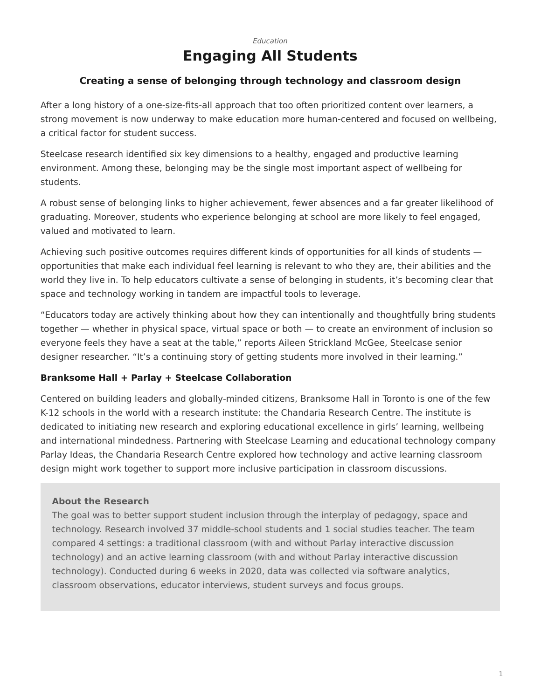# *[Education](https://www.steelcase.com/research/topics/education/)* **Engaging All Students**

## <span id="page-0-0"></span>**Creating a sense of belonging through technology and classroom design**

After a long history of a one-size-fits-all approach that too often prioritized content over learners, a strong movement is now underway to make education more human-centered and focused on wellbeing, a critical factor for student success.

Steelcase research identified six key dimensions to a healthy, engaged and productive learning environment. Among these, belonging may be the single most important aspect of wellbeing for students.

A robust sense of belonging links to higher achievement, fewer absences and a far greater likelihood of graduating. Moreover, students who experience belonging at school are more likely to feel engaged, valued and motivated to learn.

Achieving such positive outcomes requires different kinds of opportunities for all kinds of students opportunities that make each individual feel learning is relevant to who they are, their abilities and the world they live in. To help educators cultivate a sense of belonging in students, it's becoming clear that space and technology working in tandem are impactful tools to leverage.

"Educators today are actively thinking about how they can intentionally and thoughtfully bring students together — whether in physical space, virtual space or both — to create an environment of inclusion so everyone feels they have a seat at the table," reports Aileen Strickland McGee, Steelcase senior designer researcher. "It's a continuing story of getting students more involved in their learning."

## **Branksome Hall + Parlay + Steelcase Collaboration**

Centered on building leaders and globally-minded citizens, Branksome Hall in Toronto is one of the few K-12 schools in the world with a research institute: the Chandaria Research Centre. The institute is dedicated to initiating new research and exploring educational excellence in girls' learning, wellbeing and international mindedness. Partnering with Steelcase Learning and educational technology company Parlay Ideas, the Chandaria Research Centre explored how technology and active learning classroom design might work together to support more inclusive participation in classroom discussions.

### **About the Research**

The goal was to better support student inclusion through the interplay of pedagogy, space and technology. Research involved 37 middle-school students and 1 social studies teacher. The team compared 4 settings: a traditional classroom (with and without Parlay interactive discussion technology) and an active learning classroom (with and without Parlay interactive discussion technology). Conducted during 6 weeks in 2020, data was collected via software analytics, classroom observations, educator interviews, student surveys and focus groups.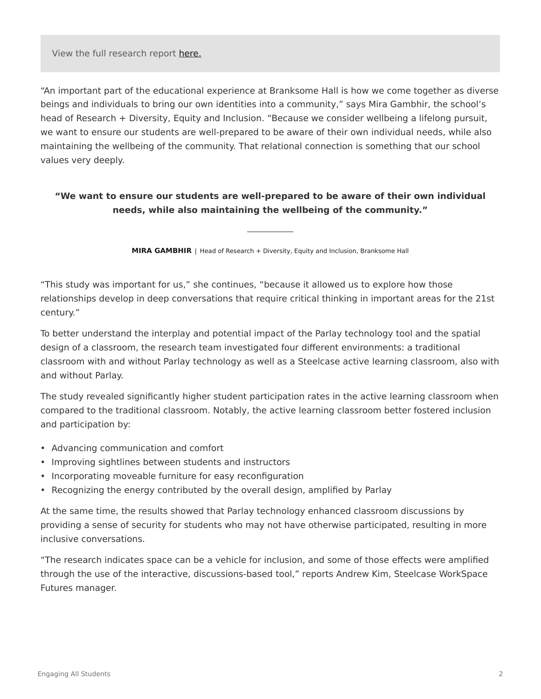View the full research report [here.](https://branksome.myschoolapp.com/ftpimages/757/download/download_6353139.pdf)

"An important part of the educational experience at Branksome Hall is how we come together as diverse beings and individuals to bring our own identities into a community," says Mira Gambhir, the school's head of Research + Diversity, Equity and Inclusion. "Because we consider wellbeing a lifelong pursuit, we want to ensure our students are well-prepared to be aware of their own individual needs, while also maintaining the wellbeing of the community. That relational connection is something that our school values very deeply.

## **"We want to ensure our students are well-prepared to be aware of their own individual needs, while also maintaining the wellbeing of the community."**

**MIRA GAMBHIR** | Head of Research + Diversity, Equity and Inclusion, Branksome Hall

"This study was important for us," she continues, "because it allowed us to explore how those relationships develop in deep conversations that require critical thinking in important areas for the 21st century."

To better understand the interplay and potential impact of the Parlay technology tool and the spatial design of a classroom, the research team investigated four different environments: a traditional classroom with and without Parlay technology as well as a Steelcase active learning classroom, also with and without Parlay.

The study revealed significantly higher student participation rates in the active learning classroom when compared to the traditional classroom. Notably, the active learning classroom better fostered inclusion and participation by:

- Advancing communication and comfort
- Improving sightlines between students and instructors
- Incorporating moveable furniture for easy reconfiguration
- Recognizing the energy contributed by the overall design, amplified by Parlay

At the same time, the results showed that Parlay technology enhanced classroom discussions by providing a sense of security for students who may not have otherwise participated, resulting in more inclusive conversations.

"The research indicates space can be a vehicle for inclusion, and some of those effects were amplified through the use of the interactive, discussions-based tool," reports Andrew Kim, Steelcase WorkSpace Futures manager.